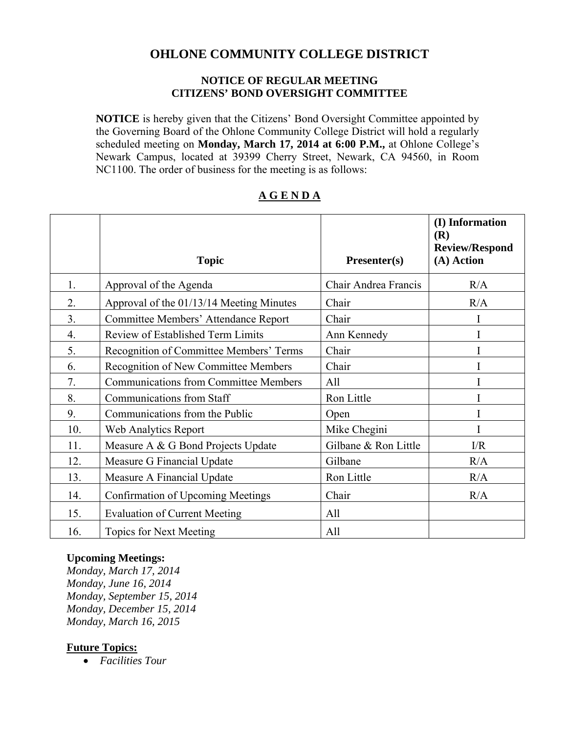## **OHLONE COMMUNITY COLLEGE DISTRICT**

#### **NOTICE OF REGULAR MEETING CITIZENS' BOND OVERSIGHT COMMITTEE**

**NOTICE** is hereby given that the Citizens' Bond Oversight Committee appointed by the Governing Board of the Ohlone Community College District will hold a regularly scheduled meeting on **Monday, March 17, 2014 at 6:00 P.M.,** at Ohlone College's Newark Campus, located at 39399 Cherry Street, Newark, CA 94560, in Room NC1100. The order of business for the meeting is as follows:

# **Topic Presenter(s) (I) Information (R) Review/Respond (A) Action** 1. Approval of the Agenda Chair Andrea Francis R/A 2. Approval of the  $01/13/14$  Meeting Minutes Chair R/A 3. Committee Members' Attendance Report Chair I 4. Review of Established Term Limits Ann Kennedy I 5. Recognition of Committee Members' Terms Chair I 6. Recognition of New Committee Members Chair I 7. Communications from Committee Members | All I 8. Communications from Staff Ron Little I 9. Communications from the Public Depen I 10. Web Analytics Report Mike Chegini I 11. Measure A & G Bond Projects Update Gilbane & Ron Little I/R 12. Measure G Financial Update Gilbane Gilbane R/A 13. Measure A Financial Update R/A 14. Confirmation of Upcoming Meetings Chair Chair R/A 15. Evaluation of Current Meeting | All 16. Topics for Next Meeting All

#### **A G E N D A**

#### **Upcoming Meetings:**

*Monday, March 17, 2014 Monday, June 16, 2014 Monday, September 15, 2014 Monday, December 15, 2014 Monday, March 16, 2015* 

#### **Future Topics:**

*Facilities Tour*